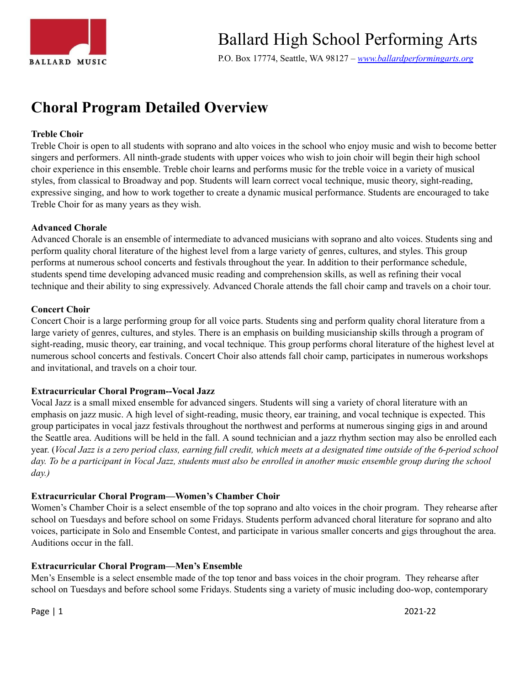

P.O. Box 17774, Seattle, WA 98127 *– [www.ballardperformingarts.org](http://www.ballardperformingarts.org/Home.aspx)*

# **Choral Program Detailed Overview**

### **Treble Choir**

Treble Choir is open to all students with soprano and alto voices in the school who enjoy music and wish to become better singers and performers. All ninth-grade students with upper voices who wish to join choir will begin their high school choir experience in this ensemble. Treble choir learns and performs music for the treble voice in a variety of musical styles, from classical to Broadway and pop. Students will learn correct vocal technique, music theory, sight-reading, expressive singing, and how to work together to create a dynamic musical performance. Students are encouraged to take Treble Choir for as many years as they wish.

### **Advanced Chorale**

Advanced Chorale is an ensemble of intermediate to advanced musicians with soprano and alto voices. Students sing and perform quality choral literature of the highest level from a large variety of genres, cultures, and styles. This group performs at numerous school concerts and festivals throughout the year. In addition to their performance schedule, students spend time developing advanced music reading and comprehension skills, as well as refining their vocal technique and their ability to sing expressively. Advanced Chorale attends the fall choir camp and travels on a choir tour.

#### **Concert Choir**

Concert Choir is a large performing group for all voice parts. Students sing and perform quality choral literature from a large variety of genres, cultures, and styles. There is an emphasis on building musicianship skills through a program of sight-reading, music theory, ear training, and vocal technique. This group performs choral literature of the highest level at numerous school concerts and festivals. Concert Choir also attends fall choir camp, participates in numerous workshops and invitational, and travels on a choir tour.

### **Extracurricular Choral Program--Vocal Jazz**

Vocal Jazz is a small mixed ensemble for advanced singers. Students will sing a variety of choral literature with an emphasis on jazz music. A high level of sight-reading, music theory, ear training, and vocal technique is expected. This group participates in vocal jazz festivals throughout the northwest and performs at numerous singing gigs in and around the Seattle area. Auditions will be held in the fall. A sound technician and a jazz rhythm section may also be enrolled each year. (Vocal Jazz is a zero period class, earning full credit, which meets at a designated time outside of the 6-period school day. To be a participant in Vocal Jazz, students must also be enrolled in another music ensemble group during the school *day.)*

### **Extracurricular Choral Program—Women's Chamber Choir**

Women's Chamber Choir is a select ensemble of the top soprano and alto voices in the choir program. They rehearse after school on Tuesdays and before school on some Fridays. Students perform advanced choral literature for soprano and alto voices, participate in Solo and Ensemble Contest, and participate in various smaller concerts and gigs throughout the area. Auditions occur in the fall.

### **Extracurricular Choral Program—Men's Ensemble**

Men's Ensemble is a select ensemble made of the top tenor and bass voices in the choir program. They rehearse after school on Tuesdays and before school some Fridays. Students sing a variety of music including doo-wop, contemporary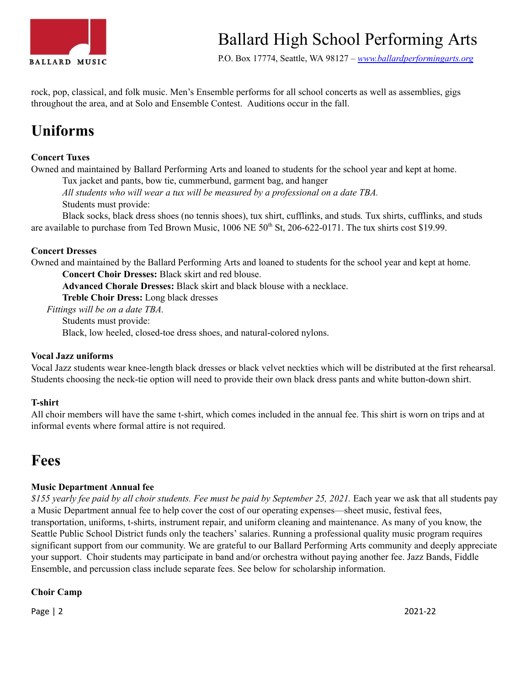

P.O. Box 17774, Seattle, WA 98127 *– [www.ballardperformingarts.org](http://www.ballardperformingarts.org/Home.aspx)*

rock, pop, classical, and folk music. Men's Ensemble performs for all school concerts as well as assemblies, gigs throughout the area, and at Solo and Ensemble Contest. Auditions occur in the fall.

# **Uniforms**

# **Concert Tuxes**

Owned and maintained by Ballard Performing Arts and loaned to students for the school year and kept at home.

Tux jacket and pants, bow tie, cummerbund, garment bag, and hanger

*All students who will wear a tux will be measured by a professional on a date TBA.* Students must provide:

Black socks, black dress shoes (no tennis shoes), tux shirt, cufflinks, and studs*.* Tux shirts, cufflinks, and studs are available to purchase from Ted Brown Music, 1006 NE 50<sup>th</sup> St, 206-622-0171. The tux shirts cost \$19.99.

# **Concert Dresses**

Owned and maintained by the Ballard Performing Arts and loaned to students for the school year and kept at home.

**Concert Choir Dresses:** Black skirt and red blouse.

**Advanced Chorale Dresses:** Black skirt and black blouse with a necklace.

**Treble Choir Dress:** Long black dresses

*Fittings will be on a date TBA.*

Students must provide:

Black, low heeled, closed-toe dress shoes, and natural-colored nylons.

### **Vocal Jazz uniforms**

Vocal Jazz students wear knee-length black dresses or black velvet neckties which will be distributed at the first rehearsal. Students choosing the neck-tie option will need to provide their own black dress pants and white button-down shirt.

### **T-shirt**

All choir members will have the same t-shirt, which comes included in the annual fee. This shirt is worn on trips and at informal events where formal attire is not required.

# **Fees**

# **Music Department Annual fee**

\$155 yearly fee paid by all choir students. Fee must be paid by September 25, 2021. Each year we ask that all students pay a Music Department annual fee to help cover the cost of our operating expenses—sheet music, festival fees, transportation, uniforms, t-shirts, instrument repair, and uniform cleaning and maintenance. As many of you know, the Seattle Public School District funds only the teachers' salaries. Running a professional quality music program requires significant support from our community. We are grateful to our Ballard Performing Arts community and deeply appreciate your support. Choir students may participate in band and/or orchestra without paying another fee. Jazz Bands, Fiddle Ensemble, and percussion class include separate fees. See below for scholarship information.

# **Choir Camp**